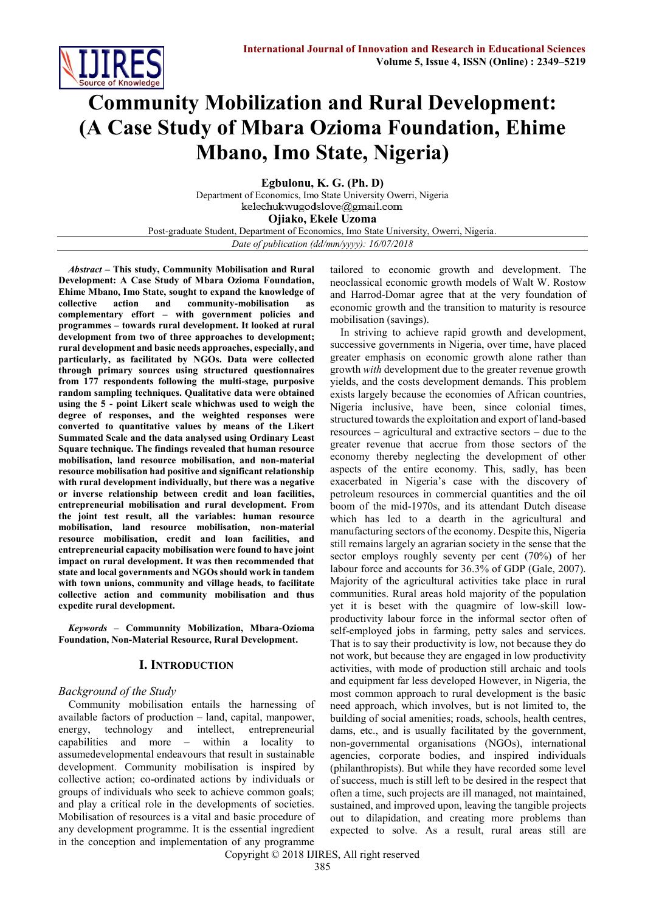

# **Community Mobilization and Rural Development: (A Case Study of Mbara Ozioma Foundation, Ehime Mbano, Imo State, Nigeria)**

**Egbulonu, K. G. (Ph. D)** Department of Economics, Imo State University Owerri, Nigeria kelechukwugodslove@gmail.com **Ojiako, Ekele Uzoma** Post-graduate Student, Department of Economics, Imo State University, Owerri, Nigeria. *Date of publication (dd/mm/yyyy): 16/07/2018*

*Abstract* **– This study, Community Mobilisation and Rural Development: A Case Study of Mbara Ozioma Foundation, Ehime Mbano, Imo State, sought to expand the knowledge of collective action and community-mobilisation as complementary effort – with government policies and programmes – towards rural development. It looked at rural development from two of three approaches to development; rural development and basic needs approaches, especially, and particularly, as facilitated by NGOs. Data were collected through primary sources using structured questionnaires from 177 respondents following the multi-stage, purposive random sampling techniques. Qualitative data were obtained using the 5 - point Likert scale whichwas used to weigh the degree of responses, and the weighted responses were converted to quantitative values by means of the Likert Summated Scale and the data analysed using Ordinary Least Square technique. The findings revealed that human resource mobilisation, land resource mobilisation, and non-material resource mobilisation had positive and significant relationship with rural development individually, but there was a negative or inverse relationship between credit and loan facilities, entrepreneurial mobilisation and rural development. From the joint test result, all the variables: human resource mobilisation, land resource mobilisation, non-material resource mobilisation, credit and loan facilities, and entrepreneurial capacity mobilisation were found to have joint impact on rural development. It was then recommended that state and local governments and NGOs should work in tandem with town unions, community and village heads, to facilitate collective action and community mobilisation and thus expedite rural development.**

*Keywords* **– Communnity Mobilization, Mbara-Ozioma Foundation, Non-Material Resource, Rural Development.**

# **I. INTRODUCTION**

#### *Background of the Study*

Community mobilisation entails the harnessing of available factors of production – land, capital, manpower, energy, technology and intellect, entrepreneurial capabilities and more – within a locality to assumedevelopmental endeavours that result in sustainable development. Community mobilisation is inspired by collective action; co-ordinated actions by individuals or groups of individuals who seek to achieve common goals; and play a critical role in the developments of societies. Mobilisation of resources is a vital and basic procedure of any development programme. It is the essential ingredient in the conception and implementation of any programme

tailored to economic growth and development. The neoclassical economic growth models of Walt W. Rostow and Harrod-Domar agree that at the very foundation of economic growth and the transition to maturity is resource mobilisation (savings).

In striving to achieve rapid growth and development, successive governments in Nigeria, over time, have placed greater emphasis on economic growth alone rather than growth *with* development due to the greater revenue growth yields, and the costs development demands. This problem exists largely because the economies of African countries, Nigeria inclusive, have been, since colonial times, structured towards the exploitation and export of land-based resources – agricultural and extractive sectors – due to the greater revenue that accrue from those sectors of the economy thereby neglecting the development of other aspects of the entire economy. This, sadly, has been exacerbated in Nigeria's case with the discovery of petroleum resources in commercial quantities and the oil boom of the mid-1970s, and its attendant Dutch disease which has led to a dearth in the agricultural and manufacturing sectors of the economy. Despite this, Nigeria still remains largely an agrarian society in the sense that the sector employs roughly seventy per cent (70%) of her labour force and accounts for 36.3% of GDP (Gale, 2007). Majority of the agricultural activities take place in rural communities. Rural areas hold majority of the population yet it is beset with the quagmire of low-skill lowproductivity labour force in the informal sector often of self-employed jobs in farming, petty sales and services. That is to say their productivity is low, not because they do not work, but because they are engaged in low productivity activities, with mode of production still archaic and tools and equipment far less developed However, in Nigeria, the most common approach to rural development is the basic need approach, which involves, but is not limited to, the building of social amenities; roads, schools, health centres, dams, etc., and is usually facilitated by the government, non-governmental organisations (NGOs), international agencies, corporate bodies, and inspired individuals (philanthropists). But while they have recorded some level of success, much is still left to be desired in the respect that often a time, such projects are ill managed, not maintained, sustained, and improved upon, leaving the tangible projects out to dilapidation, and creating more problems than expected to solve. As a result, rural areas still are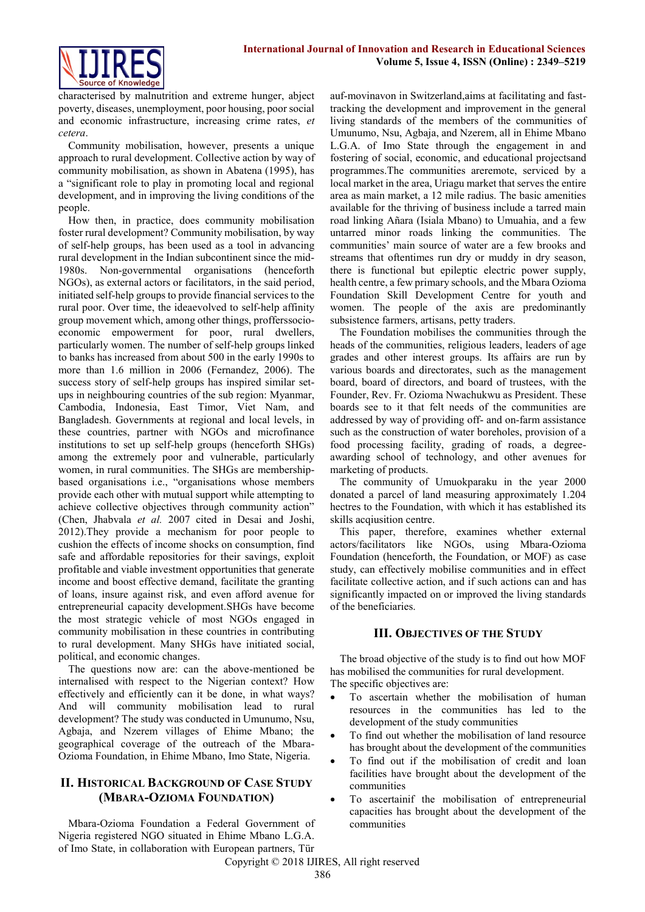

characterised by malnutrition and extreme hunger, abject poverty, diseases, unemployment, poor housing, poor social and economic infrastructure, increasing crime rates, *et cetera*.

Community mobilisation, however, presents a unique approach to rural development. Collective action by way of community mobilisation, as shown in Abatena (1995), has a "significant role to play in promoting local and regional development, and in improving the living conditions of the people.

How then, in practice, does community mobilisation foster rural development? Community mobilisation, by way of self-help groups, has been used as a tool in advancing rural development in the Indian subcontinent since the mid-1980s. Non-governmental organisations (henceforth NGOs), as external actors or facilitators, in the said period, initiated self-help groups to provide financial services to the rural poor. Over time, the ideaevolved to self-help affinity group movement which, among other things, profferssocioeconomic empowerment for poor, rural dwellers, particularly women. The number of self-help groups linked to banks has increased from about 500 in the early 1990s to more than 1.6 million in 2006 (Fernandez, 2006). The success story of self-help groups has inspired similar setups in neighbouring countries of the sub region: Myanmar, Cambodia, Indonesia, East Timor, Viet Nam, and Bangladesh. Governments at regional and local levels, in these countries, partner with NGOs and microfinance institutions to set up self-help groups (henceforth SHGs) among the extremely poor and vulnerable, particularly women, in rural communities. The SHGs are membershipbased organisations i.e., "organisations whose members provide each other with mutual support while attempting to achieve collective objectives through community action" (Chen, Jhabvala *et al.* 2007 cited in Desai and Joshi, 2012).They provide a mechanism for poor people to cushion the effects of income shocks on consumption, find safe and affordable repositories for their savings, exploit profitable and viable investment opportunities that generate income and boost effective demand, facilitate the granting of loans, insure against risk, and even afford avenue for entrepreneurial capacity development.SHGs have become the most strategic vehicle of most NGOs engaged in community mobilisation in these countries in contributing to rural development. Many SHGs have initiated social, political, and economic changes.

The questions now are: can the above-mentioned be internalised with respect to the Nigerian context? How effectively and efficiently can it be done, in what ways? And will community mobilisation lead to rural development? The study was conducted in Umunumo, Nsu, Agbaja, and Nzerem villages of Ehime Mbano; the geographical coverage of the outreach of the Mbara-Ozioma Foundation, in Ehime Mbano, Imo State, Nigeria.

# **II. HISTORICAL BACKGROUND OF CASE STUDY (MBARA-OZIOMA FOUNDATION)**

Mbara-Ozioma Foundation a Federal Government of Nigeria registered NGO situated in Ehime Mbano L.G.A. of Imo State, in collaboration with European partners, Tür

auf-movinavon in Switzerland,aims at facilitating and fasttracking the development and improvement in the general living standards of the members of the communities of Umunumo, Nsu, Agbaja, and Nzerem, all in Ehime Mbano L.G.A. of Imo State through the engagement in and fostering of social, economic, and educational projectsand programmes.The communities areremote, serviced by a local market in the area, Uriagu market that serves the entire area as main market, a 12 mile radius. The basic amenities available for the thriving of business include a tarred main road linking Añara (Isiala Mbano) to Umuahia, and a few untarred minor roads linking the communities. The communities' main source of water are a few brooks and streams that oftentimes run dry or muddy in dry season, there is functional but epileptic electric power supply, health centre, a few primary schools, and the Mbara Ozioma Foundation Skill Development Centre for youth and women. The people of the axis are predominantly subsistence farmers, artisans, petty traders.

The Foundation mobilises the communities through the heads of the communities, religious leaders, leaders of age grades and other interest groups. Its affairs are run by various boards and directorates, such as the management board, board of directors, and board of trustees, with the Founder, Rev. Fr. Ozioma Nwachukwu as President. These boards see to it that felt needs of the communities are addressed by way of providing off- and on-farm assistance such as the construction of water boreholes, provision of a food processing facility, grading of roads, a degreeawarding school of technology, and other avenues for marketing of products.

The community of Umuokparaku in the year 2000 donated a parcel of land measuring approximately 1.204 hectres to the Foundation, with which it has established its skills acqiusition centre.

This paper, therefore, examines whether external actors/facilitators like NGOs, using Mbara-Ozioma Foundation (henceforth, the Foundation, or MOF) as case study, can effectively mobilise communities and in effect facilitate collective action, and if such actions can and has significantly impacted on or improved the living standards of the beneficiaries.

# **III. OBJECTIVES OF THE STUDY**

The broad objective of the study is to find out how MOF has mobilised the communities for rural development. The specific objectives are:

- To ascertain whether the mobilisation of human resources in the communities has led to the development of the study communities
- To find out whether the mobilisation of land resource has brought about the development of the communities
- To find out if the mobilisation of credit and loan facilities have brought about the development of the communities
- To ascertainif the mobilisation of entrepreneurial capacities has brought about the development of the communities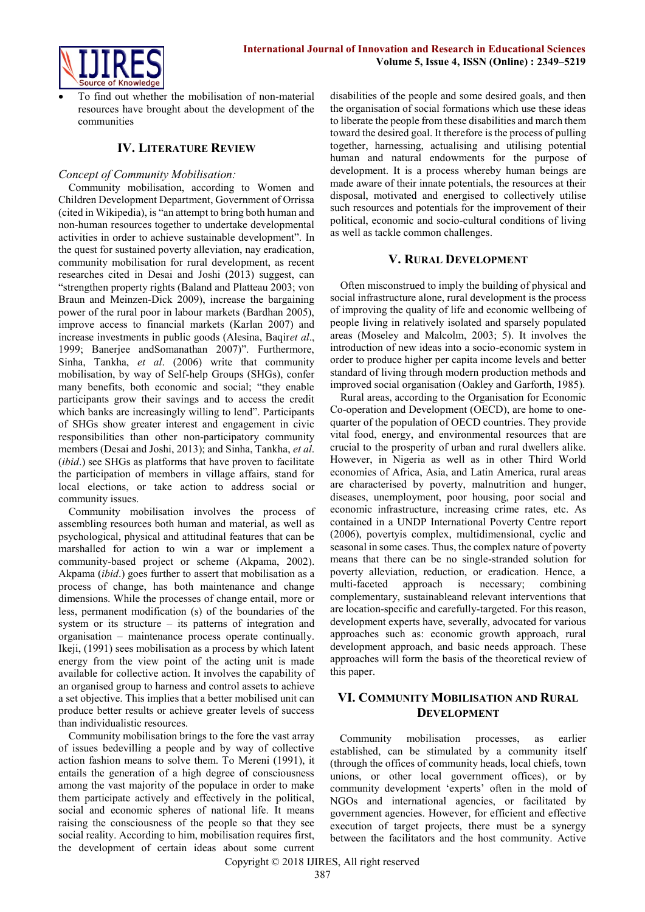

 To find out whether the mobilisation of non-material resources have brought about the development of the communities

# **IV. LITERATURE REVIEW**

#### *Concept of Community Mobilisation:*

Community mobilisation, according to Women and Children Development Department, Government of Orrissa (cited in Wikipedia), is "an attempt to bring both human and non-human resources together to undertake developmental activities in order to achieve sustainable development". In the quest for sustained poverty alleviation, nay eradication, community mobilisation for rural development, as recent researches cited in Desai and Joshi (2013) suggest, can "strengthen property rights (Baland and Platteau 2003; von Braun and Meinzen-Dick 2009), increase the bargaining power of the rural poor in labour markets (Bardhan 2005), improve access to financial markets (Karlan 2007) and increase investments in public goods (Alesina, Baqir*et al*., 1999; Banerjee andSomanathan 2007)". Furthermore, Sinha, Tankha, *et al*. (2006) write that community mobilisation, by way of Self-help Groups (SHGs), confer many benefits, both economic and social; "they enable participants grow their savings and to access the credit which banks are increasingly willing to lend". Participants of SHGs show greater interest and engagement in civic responsibilities than other non-participatory community members (Desai and Joshi, 2013); and Sinha, Tankha, *et al*. (*ibid*.) see SHGs as platforms that have proven to facilitate the participation of members in village affairs, stand for local elections, or take action to address social or community issues.

Community mobilisation involves the process of assembling resources both human and material, as well as psychological, physical and attitudinal features that can be marshalled for action to win a war or implement a community-based project or scheme (Akpama, 2002). Akpama (*ibid*.) goes further to assert that mobilisation as a process of change, has both maintenance and change dimensions. While the processes of change entail, more or less, permanent modification (s) of the boundaries of the system or its structure – its patterns of integration and organisation – maintenance process operate continually. Ikeji, (1991) sees mobilisation as a process by which latent energy from the view point of the acting unit is made available for collective action. It involves the capability of an organised group to harness and control assets to achieve a set objective. This implies that a better mobilised unit can produce better results or achieve greater levels of success than individualistic resources.

Community mobilisation brings to the fore the vast array of issues bedevilling a people and by way of collective action fashion means to solve them. To Mereni (1991), it entails the generation of a high degree of consciousness among the vast majority of the populace in order to make them participate actively and effectively in the political, social and economic spheres of national life. It means raising the consciousness of the people so that they see social reality. According to him, mobilisation requires first, the development of certain ideas about some current

disabilities of the people and some desired goals, and then the organisation of social formations which use these ideas to liberate the people from these disabilities and march them toward the desired goal. It therefore is the process of pulling together, harnessing, actualising and utilising potential human and natural endowments for the purpose of development. It is a process whereby human beings are made aware of their innate potentials, the resources at their disposal, motivated and energised to collectively utilise such resources and potentials for the improvement of their political, economic and socio-cultural conditions of living as well as tackle common challenges.

# **V. RURAL DEVELOPMENT**

Often misconstrued to imply the building of physical and social infrastructure alone, rural development is the process of improving the quality of life and economic wellbeing of people living in relatively isolated and sparsely populated areas (Moseley and Malcolm, 2003; 5). It involves the introduction of new ideas into a socio-economic system in order to produce higher per capita income levels and better standard of living through modern production methods and improved social organisation (Oakley and Garforth, 1985).

Rural areas, according to the Organisation for Economic Co-operation and Development (OECD), are home to onequarter of the population of OECD countries. They provide vital food, energy, and environmental resources that are crucial to the prosperity of urban and rural dwellers alike. However, in Nigeria as well as in other Third World economies of Africa, Asia, and Latin America, rural areas are characterised by poverty, malnutrition and hunger, diseases, unemployment, poor housing, poor social and economic infrastructure, increasing crime rates, etc. As contained in a UNDP International Poverty Centre report (2006), povertyis complex, multidimensional, cyclic and seasonal in some cases. Thus, the complex nature of poverty means that there can be no single-stranded solution for poverty alleviation, reduction, or eradication. Hence, a multi-faceted approach is necessary; combining complementary, sustainableand relevant interventions that are location-specific and carefully-targeted. For this reason, development experts have, severally, advocated for various approaches such as: economic growth approach, rural development approach, and basic needs approach. These approaches will form the basis of the theoretical review of this paper.

# **VI. COMMUNITY MOBILISATION AND RURAL DEVELOPMENT**

Community mobilisation processes, as earlier established, can be stimulated by a community itself (through the offices of community heads, local chiefs, town unions, or other local government offices), or by community development 'experts' often in the mold of NGOs and international agencies, or facilitated by government agencies. However, for efficient and effective execution of target projects, there must be a synergy between the facilitators and the host community. Active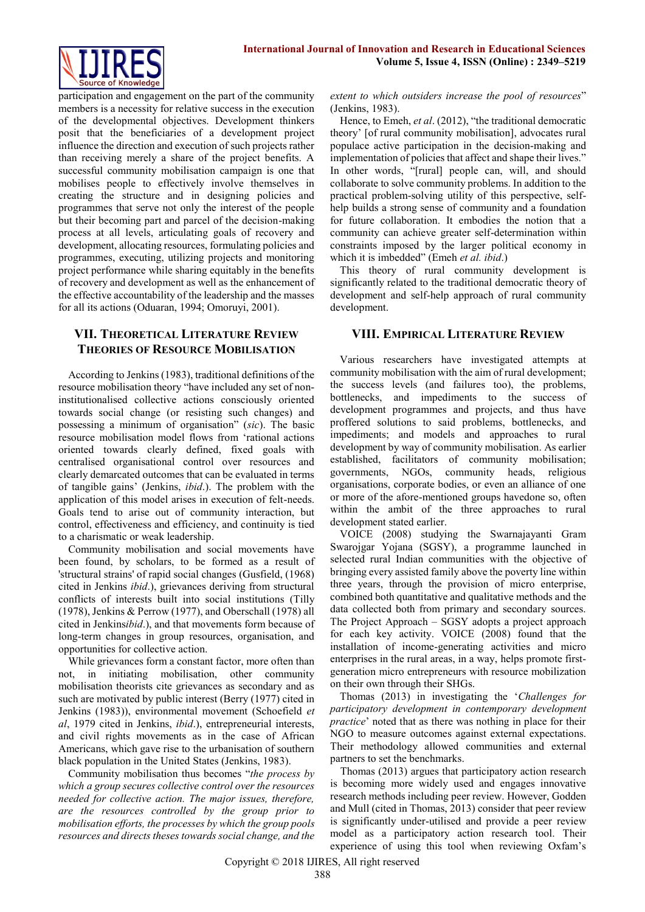participation and engagement on the part of the community members is a necessity for relative success in the execution of the developmental objectives. Development thinkers posit that the beneficiaries of a development project influence the direction and execution of such projects rather than receiving merely a share of the project benefits. A successful community mobilisation campaign is one that mobilises people to effectively involve themselves in creating the structure and in designing policies and programmes that serve not only the interest of the people but their becoming part and parcel of the decision-making process at all levels, articulating goals of recovery and development, allocating resources, formulating policies and programmes, executing, utilizing projects and monitoring project performance while sharing equitably in the benefits of recovery and development as well as the enhancement of the effective accountability of the leadership and the masses for all its actions (Oduaran, 1994; Omoruyi, 2001).

# **VII. THEORETICAL LITERATURE REVIEW THEORIES OF RESOURCE MOBILISATION**

According to Jenkins (1983), traditional definitions of the resource mobilisation theory "have included any set of noninstitutionalised collective actions consciously oriented towards social change (or resisting such changes) and possessing a minimum of organisation" (*sic*). The basic resource mobilisation model flows from 'rational actions oriented towards clearly defined, fixed goals with centralised organisational control over resources and clearly demarcated outcomes that can be evaluated in terms of tangible gains' (Jenkins, *ibid*.). The problem with the application of this model arises in execution of felt-needs. Goals tend to arise out of community interaction, but control, effectiveness and efficiency, and continuity is tied to a charismatic or weak leadership.

Community mobilisation and social movements have been found, by scholars, to be formed as a result of 'structural strains' of rapid social changes (Gusfield, (1968) cited in Jenkins *ibid*.), grievances deriving from structural conflicts of interests built into social institutions (Tilly (1978), Jenkins & Perrow (1977), and Oberschall (1978) all cited in Jenkins*ibid*.), and that movements form because of long-term changes in group resources, organisation, and opportunities for collective action.

While grievances form a constant factor, more often than not, in initiating mobilisation, other community mobilisation theorists cite grievances as secondary and as such are motivated by public interest (Berry (1977) cited in Jenkins (1983)), environmental movement (Schoefield *et al*, 1979 cited in Jenkins, *ibid*.), entrepreneurial interests, and civil rights movements as in the case of African Americans, which gave rise to the urbanisation of southern black population in the United States (Jenkins, 1983).

Community mobilisation thus becomes "*the process by which a group secures collective control over the resources needed for collective action. The major issues, therefore, are the resources controlled by the group prior to mobilisation efforts, the processes by which the group pools resources and directs theses towards social change, and the*  *extent to which outsiders increase the pool of resources*" (Jenkins, 1983).

Hence, to Emeh, *et al*. (2012), "the traditional democratic theory' [of rural community mobilisation], advocates rural populace active participation in the decision-making and implementation of policies that affect and shape their lives." In other words, "[rural] people can, will, and should collaborate to solve community problems. In addition to the practical problem-solving utility of this perspective, selfhelp builds a strong sense of community and a foundation for future collaboration. It embodies the notion that a community can achieve greater self-determination within constraints imposed by the larger political economy in which it is imbedded" (Emeh *et al. ibid*.)

This theory of rural community development is significantly related to the traditional democratic theory of development and self-help approach of rural community development.

# **VIII. EMPIRICAL LITERATURE REVIEW**

Various researchers have investigated attempts at community mobilisation with the aim of rural development; the success levels (and failures too), the problems, bottlenecks, and impediments to the success of development programmes and projects, and thus have proffered solutions to said problems, bottlenecks, and impediments; and models and approaches to rural development by way of community mobilisation. As earlier established, facilitators of community mobilisation; governments, NGOs, community heads, religious organisations, corporate bodies, or even an alliance of one or more of the afore-mentioned groups havedone so, often within the ambit of the three approaches to rural development stated earlier.

VOICE (2008) studying the Swarnajayanti Gram Swarojgar Yojana (SGSY), a programme launched in selected rural Indian communities with the objective of bringing every assisted family above the poverty line within three years, through the provision of micro enterprise, combined both quantitative and qualitative methods and the data collected both from primary and secondary sources. The Project Approach – SGSY adopts a project approach for each key activity. VOICE (2008) found that the installation of income-generating activities and micro enterprises in the rural areas, in a way, helps promote firstgeneration micro entrepreneurs with resource mobilization on their own through their SHGs.

Thomas (2013) in investigating the '*Challenges for participatory development in contemporary development practice*' noted that as there was nothing in place for their NGO to measure outcomes against external expectations. Their methodology allowed communities and external partners to set the benchmarks.

Thomas (2013) argues that participatory action research is becoming more widely used and engages innovative research methods including peer review. However, Godden and Mull (cited in Thomas, 2013) consider that peer review is significantly under-utilised and provide a peer review model as a participatory action research tool. Their experience of using this tool when reviewing Oxfam's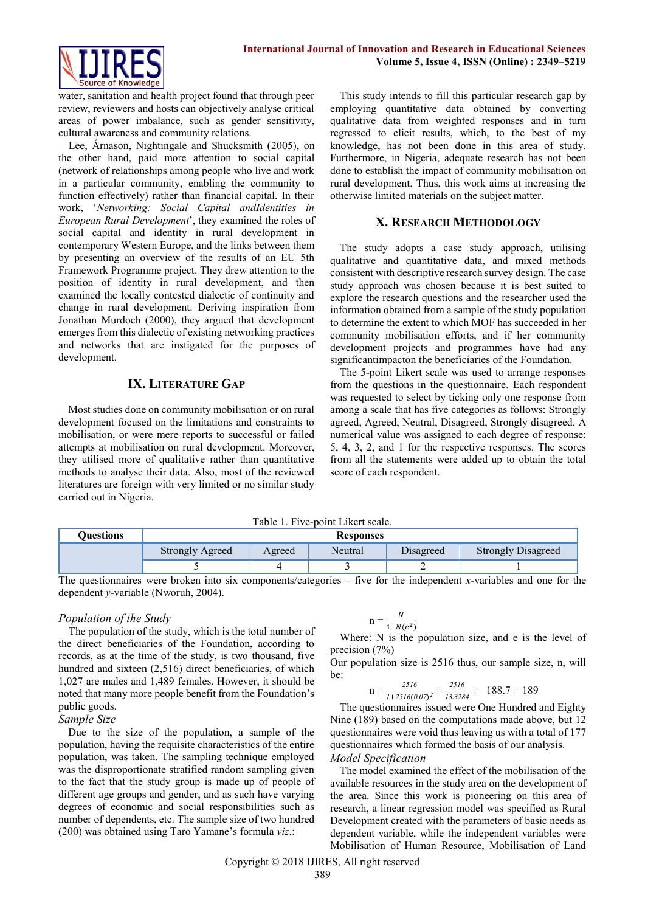

water, sanitation and health project found that through peer review, reviewers and hosts can objectively analyse critical areas of power imbalance, such as gender sensitivity, cultural awareness and community relations.

Lee, Árnason, Nightingale and Shucksmith (2005), on the other hand, paid more attention to social capital (network of relationships among people who live and work in a particular community, enabling the community to function effectively) rather than financial capital. In their work, '*Networking: Social Capital andIdentities in European Rural Development*', they examined the roles of social capital and identity in rural development in contemporary Western Europe, and the links between them by presenting an overview of the results of an EU 5th Framework Programme project. They drew attention to the position of identity in rural development, and then examined the locally contested dialectic of continuity and change in rural development. Deriving inspiration from Jonathan Murdoch (2000), they argued that development emerges from this dialectic of existing networking practices and networks that are instigated for the purposes of development.

### **IX. LITERATURE GAP**

Most studies done on community mobilisation or on rural development focused on the limitations and constraints to mobilisation, or were mere reports to successful or failed attempts at mobilisation on rural development. Moreover, they utilised more of qualitative rather than quantitative methods to analyse their data. Also, most of the reviewed literatures are foreign with very limited or no similar study carried out in Nigeria.

This study intends to fill this particular research gap by employing quantitative data obtained by converting qualitative data from weighted responses and in turn regressed to elicit results, which, to the best of my knowledge, has not been done in this area of study. Furthermore, in Nigeria, adequate research has not been done to establish the impact of community mobilisation on rural development. Thus, this work aims at increasing the otherwise limited materials on the subject matter.

#### **X. RESEARCH METHODOLOGY**

The study adopts a case study approach, utilising qualitative and quantitative data, and mixed methods consistent with descriptive research survey design. The case study approach was chosen because it is best suited to explore the research questions and the researcher used the information obtained from a sample of the study population to determine the extent to which MOF has succeeded in her community mobilisation efforts, and if her community development projects and programmes have had any significantimpacton the beneficiaries of the Foundation.

The 5-point Likert scale was used to arrange responses from the questions in the questionnaire. Each respondent was requested to select by ticking only one response from among a scale that has five categories as follows: Strongly agreed, Agreed, Neutral, Disagreed, Strongly disagreed. A numerical value was assigned to each degree of response: 5, 4, 3, 2, and 1 for the respective responses. The scores from all the statements were added up to obtain the total score of each respondent.

Table 1. Five-point Likert scale.

| Ouestions | <b>Responses</b> |        |         |           |                           |  |  |
|-----------|------------------|--------|---------|-----------|---------------------------|--|--|
|           | Strongly Agreed  | Agreed | Neutral | Disagreed | <b>Strongly Disagreed</b> |  |  |
|           |                  |        |         | -         |                           |  |  |

The questionnaires were broken into six components/categories – five for the independent *x*-variables and one for the dependent *y*-variable (Nworuh, 2004).

#### *Population of the Study*

The population of the study, which is the total number of the direct beneficiaries of the Foundation, according to records, as at the time of the study, is two thousand, five hundred and sixteen (2,516) direct beneficiaries, of which 1,027 are males and 1,489 females. However, it should be noted that many more people benefit from the Foundation's public goods.

#### *Sample Size*

Due to the size of the population, a sample of the population, having the requisite characteristics of the entire population, was taken. The sampling technique employed was the disproportionate stratified random sampling given to the fact that the study group is made up of people of different age groups and gender, and as such have varying degrees of economic and social responsibilities such as number of dependents, etc. The sample size of two hundred (200) was obtained using Taro Yamane's formula *viz*.:

$$
n = \frac{N}{1 + N(e^2)}
$$

Where: N is the population size, and e is the level of precision (7%)

Our population size is 2516 thus, our sample size, n, will be:

$$
n = \frac{2516}{1 + 2516(0.07)^2} = \frac{2516}{13.3284} = 188.7 = 189
$$

The questionnaires issued were One Hundred and Eighty Nine (189) based on the computations made above, but 12 questionnaires were void thus leaving us with a total of 177 questionnaires which formed the basis of our analysis. *Model Specification*

The model examined the effect of the mobilisation of the available resources in the study area on the development of the area. Since this work is pioneering on this area of research, a linear regression model was specified as Rural Development created with the parameters of basic needs as dependent variable, while the independent variables were Mobilisation of Human Resource, Mobilisation of Land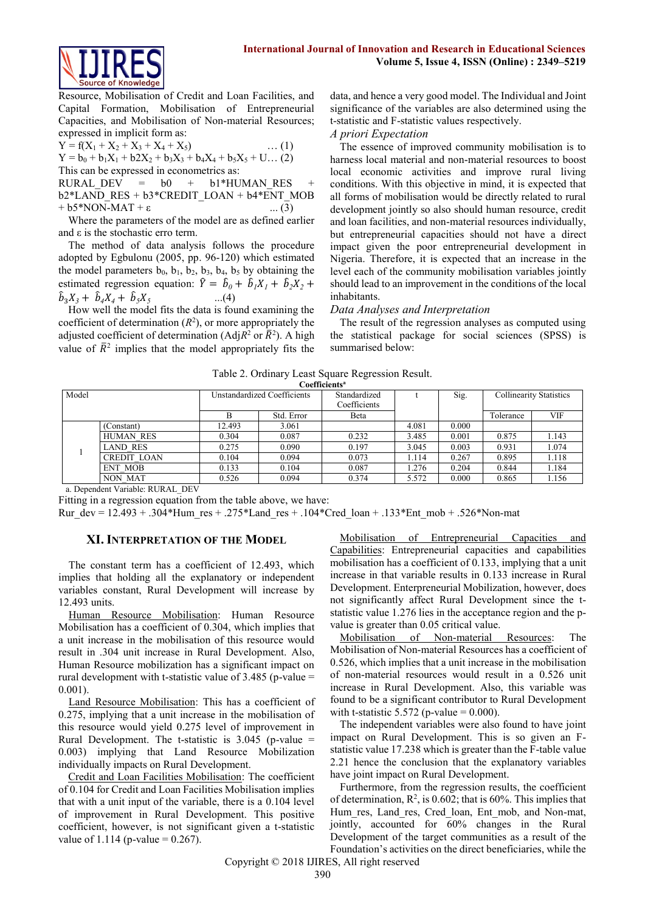

Resource, Mobilisation of Credit and Loan Facilities, and Capital Formation, Mobilisation of Entrepreneurial Capacities, and Mobilisation of Non-material Resources; expressed in implicit form as:

Y = f(X<sup>1</sup> + X<sup>2</sup> + X<sup>3</sup> + X<sup>4</sup> + X5) … (1) Y = b<sup>0</sup> + b1X<sup>1</sup> + b2X<sup>2</sup> + b3X<sup>3</sup> + b4X<sup>4</sup> + b5X<sup>5</sup> + U… (2) This can be expressed in econometrics as:

RURAL DEV =  $b0 + b1*HUMANRES +$ b2\*LAND\_RES + b3\*CREDIT\_LOAN + b4\*ENT\_MOB  $+ b5*NON-MAT + \varepsilon$  ... (3)

Where the parameters of the model are as defined earlier and  $\varepsilon$  is the stochastic erro term.

The method of data analysis follows the procedure adopted by Egbulonu (2005, pp. 96-120) which estimated the model parameters  $b_0$ ,  $b_1$ ,  $b_2$ ,  $b_3$ ,  $b_4$ ,  $b_5$  by obtaining the estimated regression equation:  $\hat{Y} = \hat{b}_0 + \hat{b}_1 X_1 + \hat{b}_2 X_2 + \hat{b}_3 X_3$  $\hat{b}_3 X_3 + \hat{b}_4 X_4 + \hat{b}_5 X_5$  $...(4)$ 

How well the model fits the data is found examining the coefficient of determination  $(R<sup>2</sup>)$ , or more appropriately the adjusted coefficient of determination (Adj $R^2$  or  $\bar{R}^2$ ). A high value of  $\bar{R}^2$  implies that the model appropriately fits the data, and hence a very good model. The Individual and Joint significance of the variables are also determined using the t-statistic and F-statistic values respectively.

#### *A priori Expectation*

The essence of improved community mobilisation is to harness local material and non-material resources to boost local economic activities and improve rural living conditions. With this objective in mind, it is expected that all forms of mobilisation would be directly related to rural development jointly so also should human resource, credit and loan facilities, and non-material resources individually, but entrepreneurial capacities should not have a direct impact given the poor entrepreneurial development in Nigeria. Therefore, it is expected that an increase in the level each of the community mobilisation variables jointly should lead to an improvement in the conditions of the local inhabitants.

#### *Data Analyses and Interpretation*

The result of the regression analyses as computed using the statistical package for social sciences (SPSS) is summarised below:

|  |  | Table 2. Ordinary Least Square Regression Result. |  |
|--|--|---------------------------------------------------|--|
|  |  |                                                   |  |

| Coefficients" |                    |                             |            |              |       |       |                                |            |  |
|---------------|--------------------|-----------------------------|------------|--------------|-------|-------|--------------------------------|------------|--|
| Model         |                    | Unstandardized Coefficients |            | Standardized |       | Sig.  | <b>Collinearity Statistics</b> |            |  |
|               |                    |                             |            | Coefficients |       |       |                                |            |  |
|               |                    |                             | Std. Error | Beta         |       |       | Tolerance                      | <b>VIF</b> |  |
|               | (Constant)         | 12.493                      | 3.061      |              | 4.081 | 0.000 |                                |            |  |
|               | <b>HUMAN RES</b>   | 0.304                       | 0.087      | 0.232        | 3.485 | 0.001 | 0.875                          | 1.143      |  |
|               | <b>LAND RES</b>    | 0.275                       | 0.090      | 0.197        | 3.045 | 0.003 | 0.931                          | 1.074      |  |
|               | <b>CREDIT LOAN</b> | 0.104                       | 0.094      | 0.073        | 1.114 | 0.267 | 0.895                          | 1.118      |  |
|               | <b>ENT MOB</b>     | 0.133                       | 0.104      | 0.087        | 1.276 | 0.204 | 0.844                          | 1.184      |  |
|               | <b>NON MAT</b>     | 0.526                       | 0.094      | 0.374        | 5.572 | 0.000 | 0.865                          | 1.156      |  |

a. Dependent Variable: RURAL\_DEV

Fitting in a regression equation from the table above, we have:

Rur dev =  $12.493 + .304*$ Hum res + .275\*Land res + .104\*Cred loan + .133\*Ent mob + .526\*Non-mat

#### **XI. INTERPRETATION OF THE MODEL**

The constant term has a coefficient of 12.493, which implies that holding all the explanatory or independent variables constant, Rural Development will increase by 12.493 units.

Human Resource Mobilisation: Human Resource Mobilisation has a coefficient of 0.304, which implies that a unit increase in the mobilisation of this resource would result in .304 unit increase in Rural Development. Also, Human Resource mobilization has a significant impact on rural development with t-statistic value of  $3.485$  (p-value  $=$ 0.001).

Land Resource Mobilisation: This has a coefficient of 0.275, implying that a unit increase in the mobilisation of this resource would yield 0.275 level of improvement in Rural Development. The t-statistic is  $3.045$  (p-value = 0.003) implying that Land Resource Mobilization individually impacts on Rural Development.

Credit and Loan Facilities Mobilisation: The coefficient of 0.104 for Credit and Loan Facilities Mobilisation implies that with a unit input of the variable, there is a 0.104 level of improvement in Rural Development. This positive coefficient, however, is not significant given a t-statistic value of 1.114 (p-value =  $0.267$ ).

Mobilisation of Entrepreneurial Capacities and Capabilities: Entrepreneurial capacities and capabilities mobilisation has a coefficient of 0.133, implying that a unit increase in that variable results in 0.133 increase in Rural Development. Enterpreneurial Mobilization, however, does not significantly affect Rural Development since the tstatistic value 1.276 lies in the acceptance region and the pvalue is greater than 0.05 critical value.

Mobilisation of Non-material Resources: The Mobilisation of Non-material Resources has a coefficient of 0.526, which implies that a unit increase in the mobilisation of non-material resources would result in a 0.526 unit increase in Rural Development. Also, this variable was found to be a significant contributor to Rural Development with t-statistic 5.572 (p-value =  $0.000$ ).

The independent variables were also found to have joint impact on Rural Development. This is so given an Fstatistic value 17.238 which is greater than the F-table value 2.21 hence the conclusion that the explanatory variables have joint impact on Rural Development.

Furthermore, from the regression results, the coefficient of determination,  $R^2$ , is 0.602; that is 60%. This implies that Hum res, Land res, Cred loan, Ent mob, and Non-mat, jointly, accounted for 60% changes in the Rural Development of the target communities as a result of the Foundation's activities on the direct beneficiaries, while the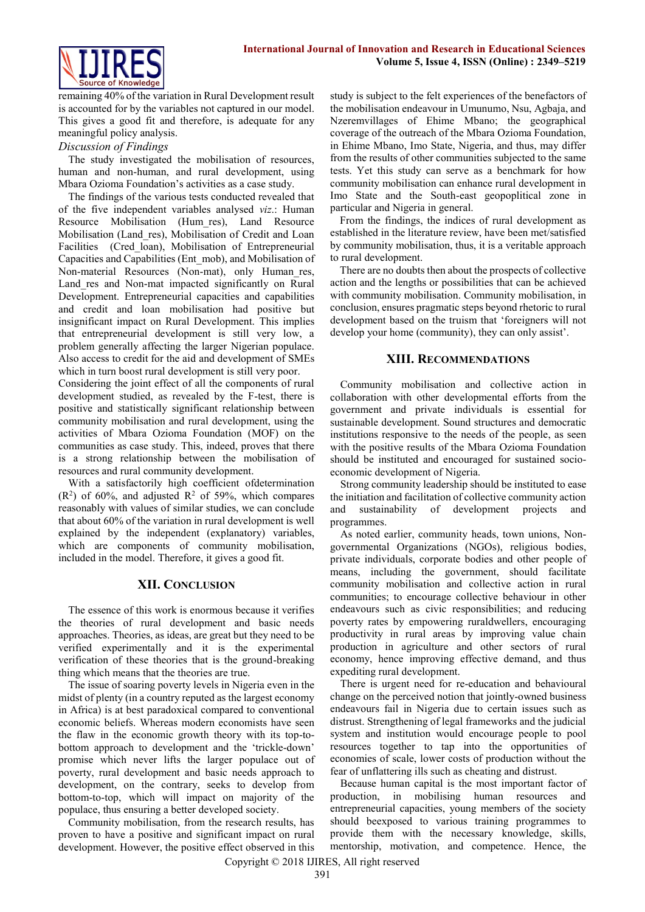

remaining 40% of the variation in Rural Development result is accounted for by the variables not captured in our model. This gives a good fit and therefore, is adequate for any meaningful policy analysis.

#### *Discussion of Findings*

The study investigated the mobilisation of resources, human and non-human, and rural development, using Mbara Ozioma Foundation's activities as a case study.

The findings of the various tests conducted revealed that of the five independent variables analysed *viz*.: Human Resource Mobilisation (Hum\_res), Land Resource Mobilisation (Land\_res), Mobilisation of Credit and Loan Facilities (Cred loan), Mobilisation of Entrepreneurial Capacities and Capabilities (Ent\_mob), and Mobilisation of Non-material Resources (Non-mat), only Human\_res, Land res and Non-mat impacted significantly on Rural Development. Entrepreneurial capacities and capabilities and credit and loan mobilisation had positive but insignificant impact on Rural Development. This implies that entrepreneurial development is still very low, a problem generally affecting the larger Nigerian populace. Also access to credit for the aid and development of SMEs which in turn boost rural development is still very poor.

Considering the joint effect of all the components of rural development studied, as revealed by the F-test, there is positive and statistically significant relationship between community mobilisation and rural development, using the activities of Mbara Ozioma Foundation (MOF) on the communities as case study. This, indeed, proves that there is a strong relationship between the mobilisation of resources and rural community development.

With a satisfactorily high coefficient ofdetermination  $(R<sup>2</sup>)$  of 60%, and adjusted  $R<sup>2</sup>$  of 59%, which compares reasonably with values of similar studies, we can conclude that about 60% of the variation in rural development is well explained by the independent (explanatory) variables, which are components of community mobilisation, included in the model. Therefore, it gives a good fit.

# **XII. CONCLUSION**

The essence of this work is enormous because it verifies the theories of rural development and basic needs approaches. Theories, as ideas, are great but they need to be verified experimentally and it is the experimental verification of these theories that is the ground-breaking thing which means that the theories are true.

The issue of soaring poverty levels in Nigeria even in the midst of plenty (in a country reputed as the largest economy in Africa) is at best paradoxical compared to conventional economic beliefs. Whereas modern economists have seen the flaw in the economic growth theory with its top-tobottom approach to development and the 'trickle-down' promise which never lifts the larger populace out of poverty, rural development and basic needs approach to development, on the contrary, seeks to develop from bottom-to-top, which will impact on majority of the populace, thus ensuring a better developed society.

Community mobilisation, from the research results, has proven to have a positive and significant impact on rural development. However, the positive effect observed in this study is subject to the felt experiences of the benefactors of the mobilisation endeavour in Umunumo, Nsu, Agbaja, and Nzeremvillages of Ehime Mbano; the geographical coverage of the outreach of the Mbara Ozioma Foundation, in Ehime Mbano, Imo State, Nigeria, and thus, may differ from the results of other communities subjected to the same tests. Yet this study can serve as a benchmark for how community mobilisation can enhance rural development in Imo State and the South-east geopoplitical zone in particular and Nigeria in general.

From the findings, the indices of rural development as established in the literature review, have been met/satisfied by community mobilisation, thus, it is a veritable approach to rural development.

There are no doubts then about the prospects of collective action and the lengths or possibilities that can be achieved with community mobilisation. Community mobilisation, in conclusion, ensures pragmatic steps beyond rhetoric to rural development based on the truism that 'foreigners will not develop your home (community), they can only assist'.

# **XIII. RECOMMENDATIONS**

Community mobilisation and collective action in collaboration with other developmental efforts from the government and private individuals is essential for sustainable development. Sound structures and democratic institutions responsive to the needs of the people, as seen with the positive results of the Mbara Ozioma Foundation should be instituted and encouraged for sustained socioeconomic development of Nigeria.

Strong community leadership should be instituted to ease the initiation and facilitation of collective community action and sustainability of development projects and programmes.

As noted earlier, community heads, town unions, Nongovernmental Organizations (NGOs), religious bodies, private individuals, corporate bodies and other people of means, including the government, should facilitate community mobilisation and collective action in rural communities; to encourage collective behaviour in other endeavours such as civic responsibilities; and reducing poverty rates by empowering ruraldwellers, encouraging productivity in rural areas by improving value chain production in agriculture and other sectors of rural economy, hence improving effective demand, and thus expediting rural development.

There is urgent need for re-education and behavioural change on the perceived notion that jointly-owned business endeavours fail in Nigeria due to certain issues such as distrust. Strengthening of legal frameworks and the judicial system and institution would encourage people to pool resources together to tap into the opportunities of economies of scale, lower costs of production without the fear of unflattering ills such as cheating and distrust.

Because human capital is the most important factor of production, in mobilising human resources and entrepreneurial capacities, young members of the society should beexposed to various training programmes to provide them with the necessary knowledge, skills, mentorship, motivation, and competence. Hence, the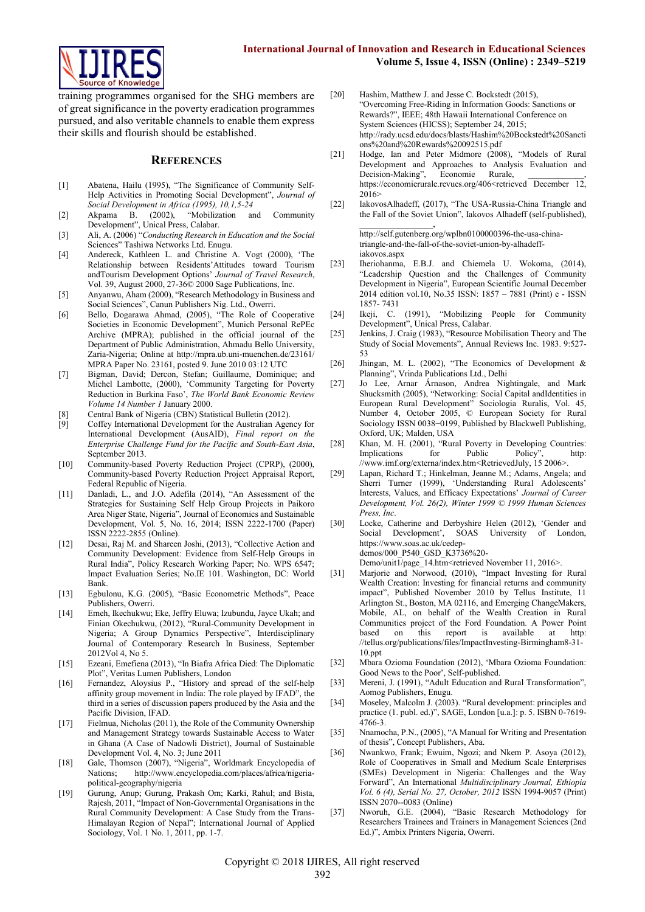

training programmes organised for the SHG members are of great significance in the poverty eradication programmes pursued, and also veritable channels to enable them express their skills and flourish should be established.

#### **REFERENCES**

- [1] Abatena, Hailu (1995), "The Significance of Community Self-Help Activities in Promoting Social Development", *Journal of Social Development in Africa (1995), 10,1,5-24*
- [2] Akpama B. (2002), "Mobilization and Community Development", Unical Press, Calabar.
- [3] Ali, A. (2006) "*Conducting Research in Education and the Social*  Sciences" Tashiwa Networks Ltd. Enugu.
- [4] Andereck, Kathleen L. and Christine A. Vogt (2000), 'The Relationship between Residents'Attitudes toward Tourism andTourism Development Options' *Journal of Travel Research*, Vol. 39, August 2000, 27-36© 2000 Sage Publications, Inc.
- [5] Anyanwu, Aham (2000), "Research Methodology in Business and Social Sciences", Canun Publishers Nig. Ltd., Owerri.
- [6] Bello, Dogarawa Ahmad, (2005), "The Role of Cooperative Societies in Economic Development", Munich Personal RePEc Archive (MPRA); published in the official journal of the Department of Public Administration, Ahmadu Bello University, Zaria-Nigeria; Online at<http://mpra.ub.uni-muenchen.de/23161/> MPRA Paper No. 23161, posted 9. June 2010 03:12 UTC
- [7] Bigman, David; Dercon, Stefan; Guillaume, Dominique; and Michel Lambotte, (2000), 'Community Targeting for Poverty Reduction in Burkina Faso', *The World Bank Economic Review Volume 14 Number 1* January 2000.
- Central Bank of Nigeria (CBN) Statistical Bulletin (2012).
- [9] Coffey International Development for the Australian Agency for International Development (AusAID), *Final report on the Enterprise Challenge Fund for the Pacific and South-East Asia*, September 2013.
- [10] Community-based Poverty Reduction Project (CPRP), (2000), Community-based Poverty Reduction Project Appraisal Report, Federal Republic of Nigeria.
- [11] Danladi, L., and J.O. Adefila (2014), "An Assessment of the Strategies for Sustaining Self Help Group Projects in Paikoro Area Niger State, Nigeria", Journal of Economics and Sustainable Development, Vol. 5, No. 16, 2014; ISSN 2222-1700 (Paper) ISSN 2222-2855 (Online).
- [12] Desai, Raj M. and Shareen Joshi, (2013), "Collective Action and Community Development: Evidence from Self-Help Groups in Rural India", Policy Research Working Paper; No. WPS 6547; Impact Evaluation Series; No.IE 101. Washington, DC: World Bank.
- [13] Egbulonu, K.G. (2005), "Basic Econometric Methods", Peace Publishers, Owerri.
- [14] Emeh, Ikechukwu; Eke, Jeffry Eluwa; Izubundu, Jayce Ukah; and Finian Okechukwu, (2012), "Rural-Community Development in Nigeria; A Group Dynamics Perspective", Interdisciplinary Journal of Contemporary Research In Business, September 2012Vol 4, No 5.
- [15] Ezeani, Emefiena (2013), "In Biafra Africa Died: The Diplomatic Plot", Veritas Lumen Publishers, London
- [16] Fernandez, Aloysius P., "History and spread of the self-help affinity group movement in India: The role played by IFAD", the third in a series of discussion papers produced by the Asia and the Pacific Division, IFAD.
- [17] Fielmua, Nicholas (2011), the Role of the Community Ownership and Management Strategy towards Sustainable Access to Water in Ghana (A Case of Nadowli District), Journal of Sustainable Development Vol. 4, No. 3; June 2011
- [18] Gale, Thomson (2007), "Nigeria", Worldmark Encyclopedia of Nations; http://www.encyclopedia.com/places/africa/nigeria[http://www.encyclopedia.com/places/africa/nigeria](http://www.encyclopedia.com/places/africa/nigeria-political-geography/nigeria)[political-geography/nigeria](http://www.encyclopedia.com/places/africa/nigeria-political-geography/nigeria)
- [19] Gurung, Anup; Gurung, Prakash Om; Karki, Rahul; and Bista, Rajesh, 2011, "Impact of Non-Governmental Organisations in the Rural Community Development: A Case Study from the Trans-Himalayan Region of Nepal"; International Journal of Applied Sociology, Vol. 1 No. 1, 2011, pp. 1-7.
- [20] Hashim, Matthew J. and Jesse C. Bockstedt (2015), "Overcoming Free-Riding in Information Goods: Sanctions or Rewards?", IEEE; 48th Hawaii International Conference on System Sciences (HICSS); September 24, 2015; [http://rady.ucsd.edu/docs/blasts/Hashim%20Bockstedt%20Sancti](http://rady.ucsd.edu/docs/blasts/Hashim%20Bockstedt%20Sanctions%20and%20Rewards%20092515.pdf) [ons%20and%20Rewards%20092515.pdf](http://rady.ucsd.edu/docs/blasts/Hashim%20Bockstedt%20Sanctions%20and%20Rewards%20092515.pdf)
- [21] Hodge, Ian and Peter Midmore (2008), "Models of Rural Development and Approaches to Analysis Evaluation and Decision-Making", Economie Rurale, [https://economierurale.revues.org/406<](https://economierurale.revues.org/406)retrieved December 12,  $2016$
- [22] IakovosAlhadeff, (2017), "The USA-Russia-China Triangle and the Fall of the Soviet Union", Iakovos Alhadeff (self-published),  $\overline{\phantom{a}}$

[http://self.gutenberg.org/wplbn0100000396-the-usa-china](http://self.gutenberg.org/wplbn0100000396-the-usa-china-triangle-and-the-fall-of-the-soviet-union-by-alhadeff-iakovos.aspx)[triangle-and-the-fall-of-the-soviet-union-by-alhadeff](http://self.gutenberg.org/wplbn0100000396-the-usa-china-triangle-and-the-fall-of-the-soviet-union-by-alhadeff-iakovos.aspx)[iakovos.aspx](http://self.gutenberg.org/wplbn0100000396-the-usa-china-triangle-and-the-fall-of-the-soviet-union-by-alhadeff-iakovos.aspx)

- [23] Iheriohanma, E.B.J. and Chiemela U. Wokoma, (2014), "Leadership Question and the Challenges of Community Development in Nigeria", European Scientific Journal December 2014 edition vol.10, No.35 ISSN: 1857 – 7881 (Print) e - ISSN 1857- 7431
- [24] Ikeji, C. (1991), "Mobilizing People for Community Development", Unical Press, Calabar.
- [25] Jenkins, J. Craig (1983), "Resource Mobilisation Theory and The Study of Social Movements", Annual Reviews Inc. 1983. 9:527- 53
- [26] Jhingan, M. L. (2002), "The Economics of Development & Planning", Vrinda Publications Ltd., Delhi
- [27] Jo Lee, Arnar Árnason, Andrea Nightingale, and Mark Shucksmith (2005), "Networking: Social Capital andIdentities in European Rural Development" Sociologia Ruralis, Vol. 45, Number 4, October 2005, © European Society for Rural Sociology ISSN 0038−0199, Published by Blackwell Publishing, Oxford, UK; Malden, USA
- [28] Khan, M. H. (2001), "Rural Poverty in Developing Countries: Implications for Public Policy" [//www.imf.org/externa/index.htm<](http://www.imf.org/externa/index.htm)RetrievedJuly, 15 2006>.
- [29] Lapan, Richard T.; Hinkelman, Jeanne M.; Adams, Angela; and Sherri Turner (1999), 'Understanding Rural Adolescents' Interests, Values, and Efficacy Expectations' *Journal of Career Development, Vol. 26(2), Winter 1999 © 1999 Human Sciences Press, Inc*.
- [30] Locke, Catherine and Derbyshire Helen (2012), 'Gender and Social Development', SOAS University of London, [https://www.soas.ac.uk/cedep](https://www.soas.ac.uk/cedep-demos/000_P540_GSD_K3736%20-Demo/unit1/page_14.htm)[demos/000\\_P540\\_GSD\\_K3736%20-](https://www.soas.ac.uk/cedep-demos/000_P540_GSD_K3736%20-Demo/unit1/page_14.htm) Demo/unit1/page<sup>14.htm<retrieved November 11, 2016>.</sup>
- [31] Marjorie and Norwood, (2010), "Impact Investing for Rural Wealth Creation: Investing for financial returns and community impact", Published November 2010 by Tellus Institute, 11 Arlington St., Boston, MA 02116, and Emerging ChangeMakers, Mobile, AL, on behalf of the Wealth Creation in Rural Communities project of the Ford Foundation. A Power Point on this report is available at [http:](http://tellus.org/publications/files/ImpactInvesting-Birmingham8-31-10.ppt) [//tellus.org/publications/files/ImpactInvesting-Birmingham8-31-](http://tellus.org/publications/files/ImpactInvesting-Birmingham8-31-10.ppt) [10.ppt](http://tellus.org/publications/files/ImpactInvesting-Birmingham8-31-10.ppt)
- [32] Mbara Ozioma Foundation (2012), 'Mbara Ozioma Foundation: Good News to the Poor', Self-published.
- [33] Mereni, J. (1991), "Adult Education and Rural Transformation", Aomog Publishers, Enugu.
- [34] Moseley, Malcolm J. (2003). "Rural development: principles and practice (1. publ. ed.)", SAGE, London [u.a.]: p. 5. ISBN 0-7619- 4766-3.
- [35] Nnamocha, P.N., (2005), "A Manual for Writing and Presentation of thesis", Concept Publishers, Aba.
- [36] Nwankwo, Frank; Ewuim, Ngozi; and Nkem P. Asoya (2012), Role of Cooperatives in Small and Medium Scale Enterprises (SMEs) Development in Nigeria: Challenges and the Way Forward", An International *Multidisciplinary Journal, Ethiopia Vol. 6 (4), Serial No. 27, October, 2012* ISSN 1994-9057 (Print) ISSN 2070--0083 (Online)
- [37] Nworuh, G.E. (2004), "Basic Research Methodology for Researchers Trainees and Trainers in Management Sciences (2nd Ed.)", Ambix Printers Nigeria, Owerri.